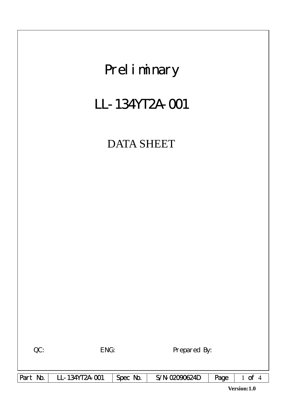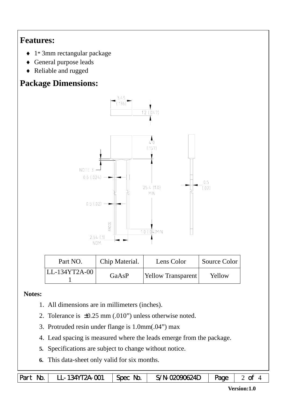## **Features:**

- ♦ 1\* 3mm rectangular package
- ♦ General purpose leads
- ♦ Reliable and rugged

# **Package Dimensions:**



| Part NO.        | Chip Material. | Lens Color         | Source Color |
|-----------------|----------------|--------------------|--------------|
| $LL-134YT2A-00$ | GaAsP          | Yellow Transparent | Yellow       |

#### **Notes:**

- 1. All dimensions are in millimeters (inches).
- 2. Tolerance is ±0.25 mm (.010") unless otherwise noted.
- 3. Protruded resin under flange is 1.0mm(.04") max
- 4. Lead spacing is measured where the leads emerge from the package.
- **5.** Specifications are subject to change without notice.
- **6.** This data-sheet only valid for six months.

|  | Part No.   LL-134YT2A-001 | $\mathcal{L}_1$ Spec No. $\mathcal{L}_2$ | S/N-02090624D   Page 2 of |  |  |
|--|---------------------------|------------------------------------------|---------------------------|--|--|
|--|---------------------------|------------------------------------------|---------------------------|--|--|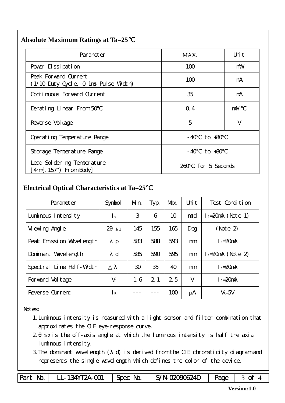#### **Absolute Maximum Ratings at Ta=25**℃

| Parameter                                                                          | MAX.                 | Uni t      |
|------------------------------------------------------------------------------------|----------------------|------------|
| Pover Dissipation                                                                  | 100                  | mW         |
| Peak Forward Current<br>(1/10 Duty Cycle, 0.1ms Pulse Width)                       | 100                  | mA         |
| Continuous Forward Current                                                         | 35                   | mA         |
| Derating Linear From 50                                                            | $Q_{\rm A}$          | $m\lambda$ |
| Reverse Vol tage                                                                   | 5                    | V          |
| Operating Temperature Range                                                        | to $+80$<br>- 40     |            |
| Storage Temperature Range                                                          | - 40<br>to +80       |            |
| Lead Sol dering Temperature<br>$\lceil 4 \text{mm}(.157^{\circ}) \rceil$ From Body | for 5 Seconds<br>260 |            |

### **Electrical Optical Characteristics at Ta=25**℃

| Parameter                | Symbol                    | Mn. | Typ. | Max. | Uni t | Test Condition         |
|--------------------------|---------------------------|-----|------|------|-------|------------------------|
| Luminous Intensity       | $\mathsf{I}_{\mathsf{v}}$ | 3   | 6    | 10   | mcd   | $l_f = 20$ mA (Note 1) |
| Vi ewing Angl e          | $\mathcal{P}$<br>1/2      | 145 | 155  | 165  | Deg   | (Note 2)               |
| Peak Emission Vavelength | $\mathbf{p}$              | 583 | 588  | 593  | nm    | $I_f = 20$ mA          |
| Dominant Wavelength      | d                         | 585 | 590  | 595  | nm    | $l_f = 20$ mA (Note 2) |
| Spectral Line Half-Width |                           | 30  | 35   | 40   | nm    | $I_f = 20$ mA          |
| Forward Voltage          | $V_f$                     | 1.6 | 2.1  | 2.5  | V     | $I_f = 20$ mA          |
| Reverse Current          | I R                       |     |      | 100  | μA    | $V_R = 5V$             |

#### Notes:

- 1.Luminous intensity is measured with a light sensor and filter combination that approximates the CIE eye-response curve.
- 2. 1/2 is the off-axis angle at which the luminous intensity is half the axial luminous intensity.
- 3.The dominant wavelength ( d) is derived from the CIE chromaticity diagram and represents the single wavelength which defines the color of the device.

Part No. | LL-134YT2A-001 | Spec No. | S/N-02090624D | Page | 3 of 4